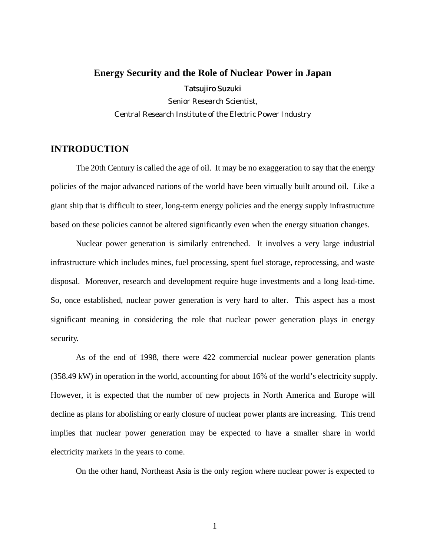# **Energy Security and the Role of Nuclear Power in Japan** Tatsujiro Suzuki Senior Research Scientist, Central Research Institute of the Electric Power Industry

## **INTRODUCTION**

The 20th Century is called the age of oil. It may be no exaggeration to say that the energy policies of the major advanced nations of the world have been virtually built around oil. Like a giant ship that is difficult to steer, long-term energy policies and the energy supply infrastructure based on these policies cannot be altered significantly even when the energy situation changes.

Nuclear power generation is similarly entrenched. It involves a very large industrial infrastructure which includes mines, fuel processing, spent fuel storage, reprocessing, and waste disposal. Moreover, research and development require huge investments and a long lead-time. So, once established, nuclear power generation is very hard to alter. This aspect has a most significant meaning in considering the role that nuclear power generation plays in energy security.

As of the end of 1998, there were 422 commercial nuclear power generation plants (358.49 kW) in operation in the world, accounting for about 16% of the world's electricity supply. However, it is expected that the number of new projects in North America and Europe will decline as plans for abolishing or early closure of nuclear power plants are increasing. This trend implies that nuclear power generation may be expected to have a smaller share in world electricity markets in the years to come.

On the other hand, Northeast Asia is the only region where nuclear power is expected to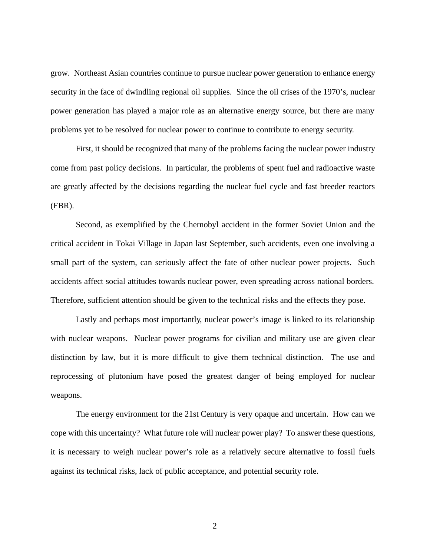grow. Northeast Asian countries continue to pursue nuclear power generation to enhance energy security in the face of dwindling regional oil supplies. Since the oil crises of the 1970's, nuclear power generation has played a major role as an alternative energy source, but there are many problems yet to be resolved for nuclear power to continue to contribute to energy security.

First, it should be recognized that many of the problems facing the nuclear power industry come from past policy decisions. In particular, the problems of spent fuel and radioactive waste are greatly affected by the decisions regarding the nuclear fuel cycle and fast breeder reactors (FBR).

Second, as exemplified by the Chernobyl accident in the former Soviet Union and the critical accident in Tokai Village in Japan last September, such accidents, even one involving a small part of the system, can seriously affect the fate of other nuclear power projects. Such accidents affect social attitudes towards nuclear power, even spreading across national borders. Therefore, sufficient attention should be given to the technical risks and the effects they pose.

Lastly and perhaps most importantly, nuclear power's image is linked to its relationship with nuclear weapons. Nuclear power programs for civilian and military use are given clear distinction by law, but it is more difficult to give them technical distinction. The use and reprocessing of plutonium have posed the greatest danger of being employed for nuclear weapons.

The energy environment for the 21st Century is very opaque and uncertain. How can we cope with this uncertainty? What future role will nuclear power play? To answer these questions, it is necessary to weigh nuclear power's role as a relatively secure alternative to fossil fuels against its technical risks, lack of public acceptance, and potential security role.

2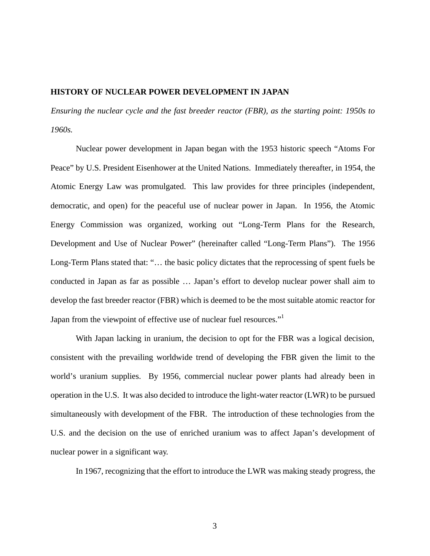## **HISTORY OF NUCLEAR POWER DEVELOPMENT IN JAPAN**

*Ensuring the nuclear cycle and the fast breeder reactor (FBR), as the starting point: 1950s to 1960s.*

Nuclear power development in Japan began with the 1953 historic speech "Atoms For Peace" by U.S. President Eisenhower at the United Nations. Immediately thereafter, in 1954, the Atomic Energy Law was promulgated. This law provides for three principles (independent, democratic, and open) for the peaceful use of nuclear power in Japan. In 1956, the Atomic Energy Commission was organized, working out "Long-Term Plans for the Research, Development and Use of Nuclear Power" (hereinafter called "Long-Term Plans"). The 1956 Long-Term Plans stated that: "… the basic policy dictates that the reprocessing of spent fuels be conducted in Japan as far as possible … Japan's effort to develop nuclear power shall aim to develop the fast breeder reactor (FBR) which is deemed to be the most suitable atomic reactor for Japan from the viewpoint of effective use of nuclear fuel resources."<sup>1</sup>

With Japan lacking in uranium, the decision to opt for the FBR was a logical decision, consistent with the prevailing worldwide trend of developing the FBR given the limit to the world's uranium supplies. By 1956, commercial nuclear power plants had already been in operation in the U.S. It was also decided to introduce the light-water reactor (LWR) to be pursued simultaneously with development of the FBR. The introduction of these technologies from the U.S. and the decision on the use of enriched uranium was to affect Japan's development of nuclear power in a significant way.

In 1967, recognizing that the effort to introduce the LWR was making steady progress, the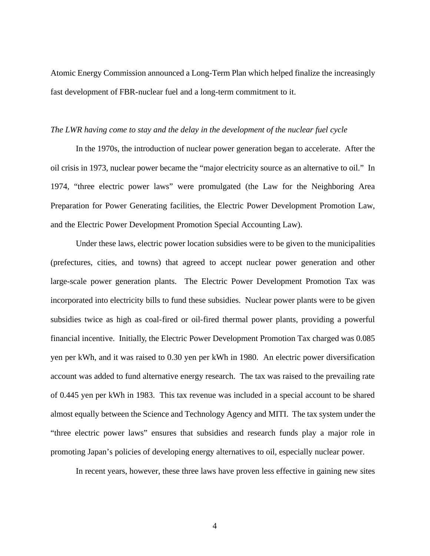Atomic Energy Commission announced a Long-Term Plan which helped finalize the increasingly fast development of FBR-nuclear fuel and a long-term commitment to it.

#### *The LWR having come to stay and the delay in the development of the nuclear fuel cycle*

In the 1970s, the introduction of nuclear power generation began to accelerate. After the oil crisis in 1973, nuclear power became the "major electricity source as an alternative to oil." In 1974, "three electric power laws" were promulgated (the Law for the Neighboring Area Preparation for Power Generating facilities, the Electric Power Development Promotion Law, and the Electric Power Development Promotion Special Accounting Law).

Under these laws, electric power location subsidies were to be given to the municipalities (prefectures, cities, and towns) that agreed to accept nuclear power generation and other large-scale power generation plants. The Electric Power Development Promotion Tax was incorporated into electricity bills to fund these subsidies. Nuclear power plants were to be given subsidies twice as high as coal-fired or oil-fired thermal power plants, providing a powerful financial incentive. Initially, the Electric Power Development Promotion Tax charged was 0.085 yen per kWh, and it was raised to 0.30 yen per kWh in 1980. An electric power diversification account was added to fund alternative energy research. The tax was raised to the prevailing rate of 0.445 yen per kWh in 1983. This tax revenue was included in a special account to be shared almost equally between the Science and Technology Agency and MITI. The tax system under the "three electric power laws" ensures that subsidies and research funds play a major role in promoting Japan's policies of developing energy alternatives to oil, especially nuclear power.

In recent years, however, these three laws have proven less effective in gaining new sites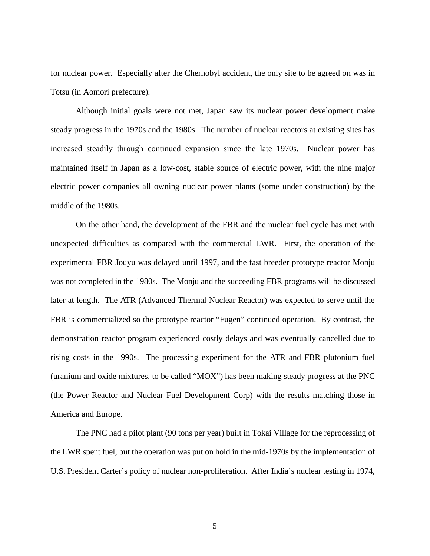for nuclear power. Especially after the Chernobyl accident, the only site to be agreed on was in Totsu (in Aomori prefecture).

Although initial goals were not met, Japan saw its nuclear power development make steady progress in the 1970s and the 1980s. The number of nuclear reactors at existing sites has increased steadily through continued expansion since the late 1970s. Nuclear power has maintained itself in Japan as a low-cost, stable source of electric power, with the nine major electric power companies all owning nuclear power plants (some under construction) by the middle of the 1980s.

On the other hand, the development of the FBR and the nuclear fuel cycle has met with unexpected difficulties as compared with the commercial LWR. First, the operation of the experimental FBR Jouyu was delayed until 1997, and the fast breeder prototype reactor Monju was not completed in the 1980s. The Monju and the succeeding FBR programs will be discussed later at length. The ATR (Advanced Thermal Nuclear Reactor) was expected to serve until the FBR is commercialized so the prototype reactor "Fugen" continued operation. By contrast, the demonstration reactor program experienced costly delays and was eventually cancelled due to rising costs in the 1990s. The processing experiment for the ATR and FBR plutonium fuel (uranium and oxide mixtures, to be called "MOX") has been making steady progress at the PNC (the Power Reactor and Nuclear Fuel Development Corp) with the results matching those in America and Europe.

The PNC had a pilot plant (90 tons per year) built in Tokai Village for the reprocessing of the LWR spent fuel, but the operation was put on hold in the mid-1970s by the implementation of U.S. President Carter's policy of nuclear non-proliferation. After India's nuclear testing in 1974,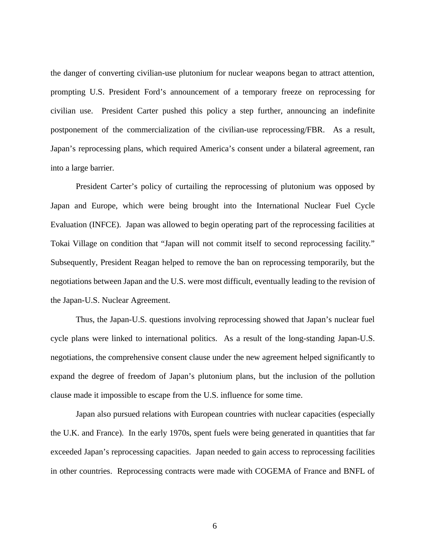the danger of converting civilian-use plutonium for nuclear weapons began to attract attention, prompting U.S. President Ford's announcement of a temporary freeze on reprocessing for civilian use. President Carter pushed this policy a step further, announcing an indefinite postponement of the commercialization of the civilian-use reprocessing/FBR. As a result, Japan's reprocessing plans, which required America's consent under a bilateral agreement, ran into a large barrier.

President Carter's policy of curtailing the reprocessing of plutonium was opposed by Japan and Europe, which were being brought into the International Nuclear Fuel Cycle Evaluation (INFCE). Japan was allowed to begin operating part of the reprocessing facilities at Tokai Village on condition that "Japan will not commit itself to second reprocessing facility." Subsequently, President Reagan helped to remove the ban on reprocessing temporarily, but the negotiations between Japan and the U.S. were most difficult, eventually leading to the revision of the Japan-U.S. Nuclear Agreement.

Thus, the Japan-U.S. questions involving reprocessing showed that Japan's nuclear fuel cycle plans were linked to international politics. As a result of the long-standing Japan-U.S. negotiations, the comprehensive consent clause under the new agreement helped significantly to expand the degree of freedom of Japan's plutonium plans, but the inclusion of the pollution clause made it impossible to escape from the U.S. influence for some time.

Japan also pursued relations with European countries with nuclear capacities (especially the U.K. and France). In the early 1970s, spent fuels were being generated in quantities that far exceeded Japan's reprocessing capacities. Japan needed to gain access to reprocessing facilities in other countries. Reprocessing contracts were made with COGEMA of France and BNFL of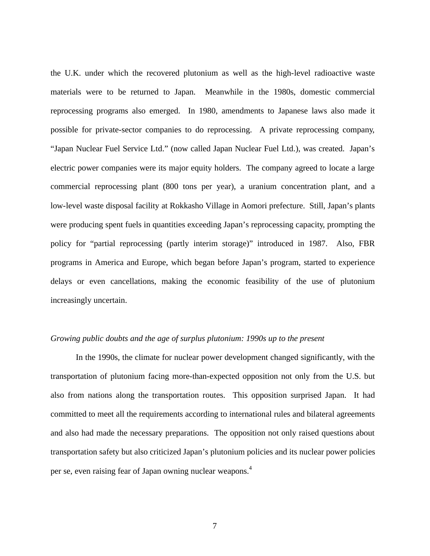the U.K. under which the recovered plutonium as well as the high-level radioactive waste materials were to be returned to Japan. Meanwhile in the 1980s, domestic commercial reprocessing programs also emerged. In 1980, amendments to Japanese laws also made it possible for private-sector companies to do reprocessing. A private reprocessing company, "Japan Nuclear Fuel Service Ltd." (now called Japan Nuclear Fuel Ltd.), was created. Japan's electric power companies were its major equity holders. The company agreed to locate a large commercial reprocessing plant (800 tons per year), a uranium concentration plant, and a low-level waste disposal facility at Rokkasho Village in Aomori prefecture. Still, Japan's plants were producing spent fuels in quantities exceeding Japan's reprocessing capacity, prompting the policy for "partial reprocessing (partly interim storage)" introduced in 1987. Also, FBR programs in America and Europe, which began before Japan's program, started to experience delays or even cancellations, making the economic feasibility of the use of plutonium increasingly uncertain.

#### *Growing public doubts and the age of surplus plutonium: 1990s up to the present*

In the 1990s, the climate for nuclear power development changed significantly, with the transportation of plutonium facing more-than-expected opposition not only from the U.S. but also from nations along the transportation routes. This opposition surprised Japan. It had committed to meet all the requirements according to international rules and bilateral agreements and also had made the necessary preparations. The opposition not only raised questions about transportation safety but also criticized Japan's plutonium policies and its nuclear power policies per se, even raising fear of Japan owning nuclear weapons.<sup>4</sup>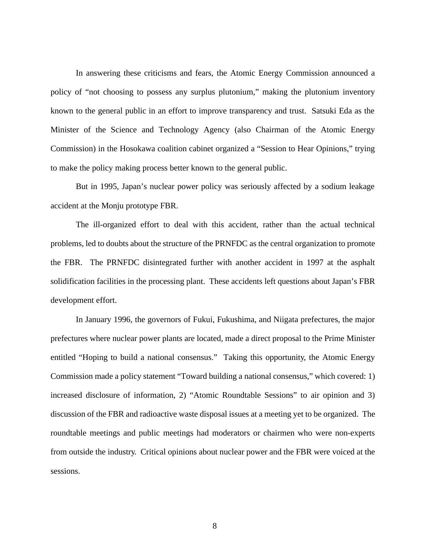In answering these criticisms and fears, the Atomic Energy Commission announced a policy of "not choosing to possess any surplus plutonium," making the plutonium inventory known to the general public in an effort to improve transparency and trust. Satsuki Eda as the Minister of the Science and Technology Agency (also Chairman of the Atomic Energy Commission) in the Hosokawa coalition cabinet organized a "Session to Hear Opinions," trying to make the policy making process better known to the general public.

But in 1995, Japan's nuclear power policy was seriously affected by a sodium leakage accident at the Monju prototype FBR.

The ill-organized effort to deal with this accident, rather than the actual technical problems, led to doubts about the structure of the PRNFDC as the central organization to promote the FBR. The PRNFDC disintegrated further with another accident in 1997 at the asphalt solidification facilities in the processing plant. These accidents left questions about Japan's FBR development effort.

In January 1996, the governors of Fukui, Fukushima, and Niigata prefectures, the major prefectures where nuclear power plants are located, made a direct proposal to the Prime Minister entitled "Hoping to build a national consensus." Taking this opportunity, the Atomic Energy Commission made a policy statement "Toward building a national consensus," which covered: 1) increased disclosure of information, 2) "Atomic Roundtable Sessions" to air opinion and 3) discussion of the FBR and radioactive waste disposal issues at a meeting yet to be organized. The roundtable meetings and public meetings had moderators or chairmen who were non-experts from outside the industry. Critical opinions about nuclear power and the FBR were voiced at the sessions.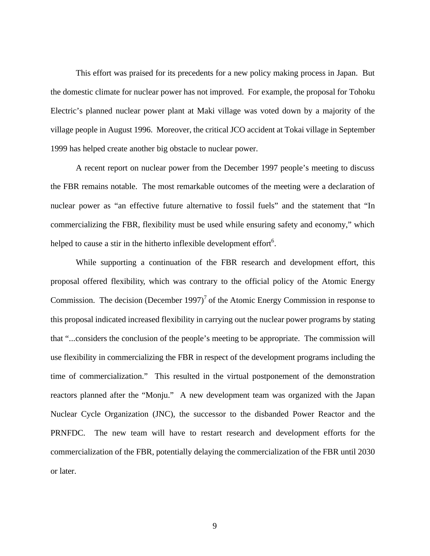This effort was praised for its precedents for a new policy making process in Japan. But the domestic climate for nuclear power has not improved. For example, the proposal for Tohoku Electric's planned nuclear power plant at Maki village was voted down by a majority of the village people in August 1996. Moreover, the critical JCO accident at Tokai village in September 1999 has helped create another big obstacle to nuclear power.

A recent report on nuclear power from the December 1997 people's meeting to discuss the FBR remains notable. The most remarkable outcomes of the meeting were a declaration of nuclear power as "an effective future alternative to fossil fuels" and the statement that "In commercializing the FBR, flexibility must be used while ensuring safety and economy," which helped to cause a stir in the hitherto inflexible development effort $6$ .

While supporting a continuation of the FBR research and development effort, this proposal offered flexibility, which was contrary to the official policy of the Atomic Energy Commission. The decision (December 1997)<sup>7</sup> of the Atomic Energy Commission in response to this proposal indicated increased flexibility in carrying out the nuclear power programs by stating that "...considers the conclusion of the people's meeting to be appropriate. The commission will use flexibility in commercializing the FBR in respect of the development programs including the time of commercialization." This resulted in the virtual postponement of the demonstration reactors planned after the "Monju." A new development team was organized with the Japan Nuclear Cycle Organization (JNC), the successor to the disbanded Power Reactor and the PRNFDC. The new team will have to restart research and development efforts for the commercialization of the FBR, potentially delaying the commercialization of the FBR until 2030 or later.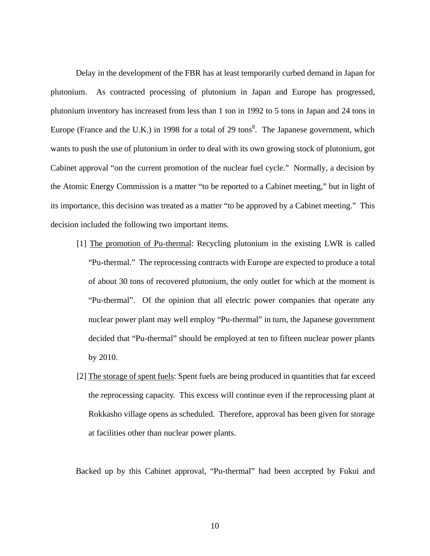Delay in the development of the FBR has at least temporarily curbed demand in Japan for plutonium. As contracted processing of plutonium in Japan and Europe has progressed, plutonium inventory has increased from less than 1 ton in 1992 to 5 tons in Japan and 24 tons in Europe (France and the U.K.) in 1998 for a total of 29 tons<sup>8</sup>. The Japanese government, which wants to push the use of plutonium in order to deal with its own growing stock of plutonium, got Cabinet approval "on the current promotion of the nuclear fuel cycle." Normally, a decision by the Atomic Energy Commission is a matter "to be reported to a Cabinet meeting," but in light of its importance, this decision was treated as a matter "to be approved by a Cabinet meeting." This decision included the following two important items.

- [1] The promotion of Pu-thermal: Recycling plutonium in the existing LWR is called "Pu-thermal." The reprocessing contracts with Europe are expected to produce a total of about 30 tons of recovered plutonium, the only outlet for which at the moment is "Pu-thermal". Of the opinion that all electric power companies that operate any nuclear power plant may well employ "Pu-thermal" in turn, the Japanese government decided that "Pu-thermal" should be employed at ten to fifteen nuclear power plants by 2010.
- [2] The storage of spent fuels: Spent fuels are being produced in quantities that far exceed the reprocessing capacity. This excess will continue even if the reprocessing plant at Rokkasho village opens as scheduled. Therefore, approval has been given for storage at facilities other than nuclear power plants.

Backed up by this Cabinet approval, "Pu-thermal" had been accepted by Fukui and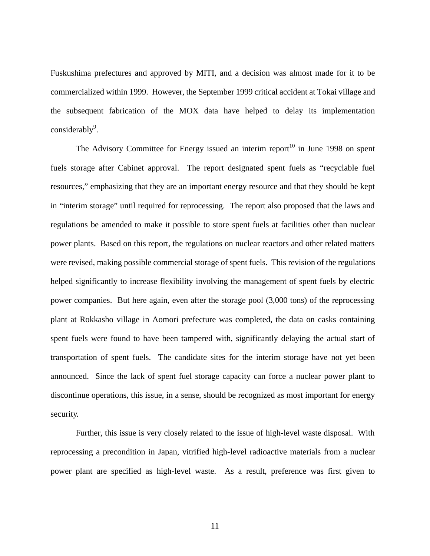Fuskushima prefectures and approved by MITI, and a decision was almost made for it to be commercialized within 1999. However, the September 1999 critical accident at Tokai village and the subsequent fabrication of the MOX data have helped to delay its implementation  $\text{considerably}^9$ .

The Advisory Committee for Energy issued an interim report<sup>10</sup> in June 1998 on spent fuels storage after Cabinet approval. The report designated spent fuels as "recyclable fuel resources," emphasizing that they are an important energy resource and that they should be kept in "interim storage" until required for reprocessing. The report also proposed that the laws and regulations be amended to make it possible to store spent fuels at facilities other than nuclear power plants. Based on this report, the regulations on nuclear reactors and other related matters were revised, making possible commercial storage of spent fuels. This revision of the regulations helped significantly to increase flexibility involving the management of spent fuels by electric power companies. But here again, even after the storage pool (3,000 tons) of the reprocessing plant at Rokkasho village in Aomori prefecture was completed, the data on casks containing spent fuels were found to have been tampered with, significantly delaying the actual start of transportation of spent fuels. The candidate sites for the interim storage have not yet been announced. Since the lack of spent fuel storage capacity can force a nuclear power plant to discontinue operations, this issue, in a sense, should be recognized as most important for energy security.

Further, this issue is very closely related to the issue of high-level waste disposal. With reprocessing a precondition in Japan, vitrified high-level radioactive materials from a nuclear power plant are specified as high-level waste. As a result, preference was first given to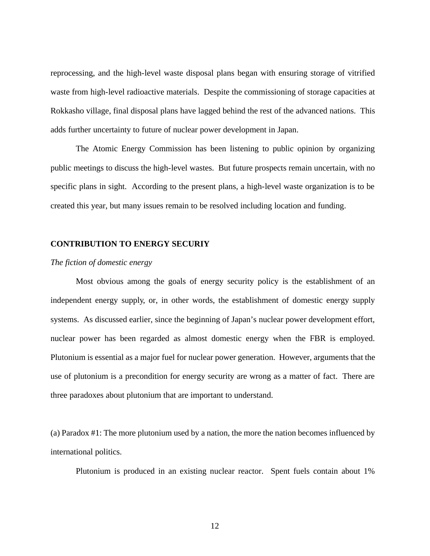reprocessing, and the high-level waste disposal plans began with ensuring storage of vitrified waste from high-level radioactive materials. Despite the commissioning of storage capacities at Rokkasho village, final disposal plans have lagged behind the rest of the advanced nations. This adds further uncertainty to future of nuclear power development in Japan.

The Atomic Energy Commission has been listening to public opinion by organizing public meetings to discuss the high-level wastes. But future prospects remain uncertain, with no specific plans in sight. According to the present plans, a high-level waste organization is to be created this year, but many issues remain to be resolved including location and funding.

## **CONTRIBUTION TO ENERGY SECURIY**

## *The fiction of domestic energy*

Most obvious among the goals of energy security policy is the establishment of an independent energy supply, or, in other words, the establishment of domestic energy supply systems. As discussed earlier, since the beginning of Japan's nuclear power development effort, nuclear power has been regarded as almost domestic energy when the FBR is employed. Plutonium is essential as a major fuel for nuclear power generation. However, arguments that the use of plutonium is a precondition for energy security are wrong as a matter of fact. There are three paradoxes about plutonium that are important to understand.

(a) Paradox #1: The more plutonium used by a nation, the more the nation becomes influenced by international politics.

Plutonium is produced in an existing nuclear reactor. Spent fuels contain about 1%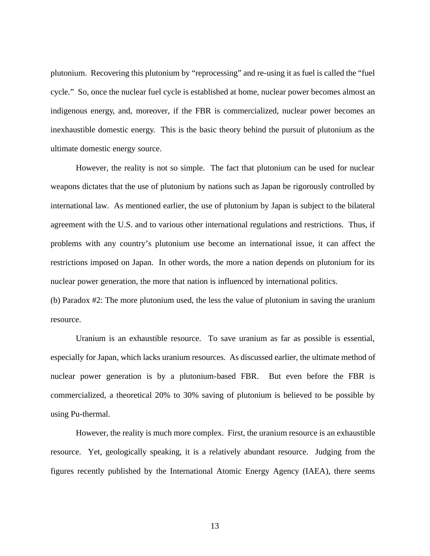plutonium. Recovering this plutonium by "reprocessing" and re-using it as fuel is called the "fuel cycle." So, once the nuclear fuel cycle is established at home, nuclear power becomes almost an indigenous energy, and, moreover, if the FBR is commercialized, nuclear power becomes an inexhaustible domestic energy. This is the basic theory behind the pursuit of plutonium as the ultimate domestic energy source.

However, the reality is not so simple. The fact that plutonium can be used for nuclear weapons dictates that the use of plutonium by nations such as Japan be rigorously controlled by international law. As mentioned earlier, the use of plutonium by Japan is subject to the bilateral agreement with the U.S. and to various other international regulations and restrictions. Thus, if problems with any country's plutonium use become an international issue, it can affect the restrictions imposed on Japan. In other words, the more a nation depends on plutonium for its nuclear power generation, the more that nation is influenced by international politics.

(b) Paradox #2: The more plutonium used, the less the value of plutonium in saving the uranium resource.

Uranium is an exhaustible resource. To save uranium as far as possible is essential, especially for Japan, which lacks uranium resources. As discussed earlier, the ultimate method of nuclear power generation is by a plutonium-based FBR. But even before the FBR is commercialized, a theoretical 20% to 30% saving of plutonium is believed to be possible by using Pu-thermal.

However, the reality is much more complex. First, the uranium resource is an exhaustible resource. Yet, geologically speaking, it is a relatively abundant resource. Judging from the figures recently published by the International Atomic Energy Agency (IAEA), there seems

13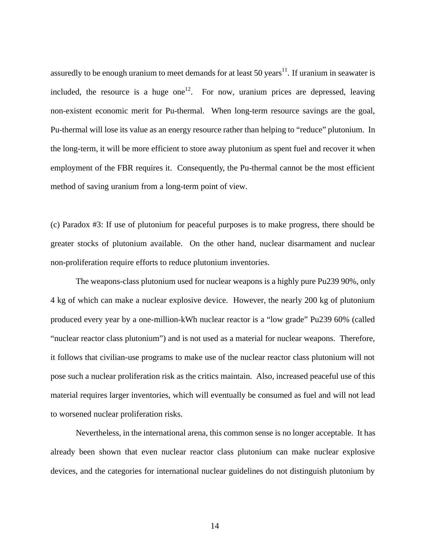assuredly to be enough uranium to meet demands for at least 50 years $^{11}$ . If uranium in seawater is included, the resource is a huge one<sup>12</sup>. For now, uranium prices are depressed, leaving non-existent economic merit for Pu-thermal. When long-term resource savings are the goal, Pu-thermal will lose its value as an energy resource rather than helping to "reduce" plutonium. In the long-term, it will be more efficient to store away plutonium as spent fuel and recover it when employment of the FBR requires it. Consequently, the Pu-thermal cannot be the most efficient method of saving uranium from a long-term point of view.

(c) Paradox #3: If use of plutonium for peaceful purposes is to make progress, there should be greater stocks of plutonium available. On the other hand, nuclear disarmament and nuclear non-proliferation require efforts to reduce plutonium inventories.

The weapons-class plutonium used for nuclear weapons is a highly pure Pu239 90%, only 4 kg of which can make a nuclear explosive device. However, the nearly 200 kg of plutonium produced every year by a one-million-kWh nuclear reactor is a "low grade" Pu239 60% (called "nuclear reactor class plutonium") and is not used as a material for nuclear weapons. Therefore, it follows that civilian-use programs to make use of the nuclear reactor class plutonium will not pose such a nuclear proliferation risk as the critics maintain. Also, increased peaceful use of this material requires larger inventories, which will eventually be consumed as fuel and will not lead to worsened nuclear proliferation risks.

Nevertheless, in the international arena, this common sense is no longer acceptable. It has already been shown that even nuclear reactor class plutonium can make nuclear explosive devices, and the categories for international nuclear guidelines do not distinguish plutonium by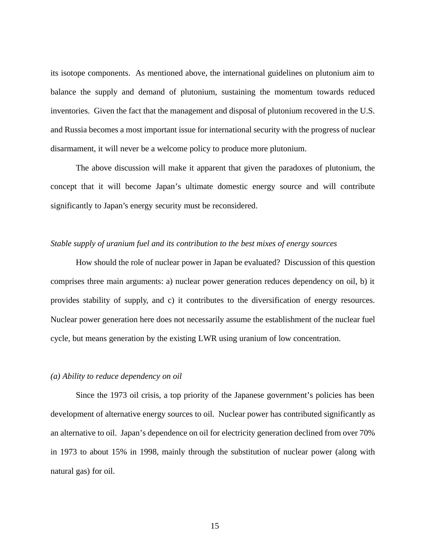its isotope components. As mentioned above, the international guidelines on plutonium aim to balance the supply and demand of plutonium, sustaining the momentum towards reduced inventories. Given the fact that the management and disposal of plutonium recovered in the U.S. and Russia becomes a most important issue for international security with the progress of nuclear disarmament, it will never be a welcome policy to produce more plutonium.

The above discussion will make it apparent that given the paradoxes of plutonium, the concept that it will become Japan's ultimate domestic energy source and will contribute significantly to Japan's energy security must be reconsidered.

## *Stable supply of uranium fuel and its contribution to the best mixes of energy sources*

How should the role of nuclear power in Japan be evaluated? Discussion of this question comprises three main arguments: a) nuclear power generation reduces dependency on oil, b) it provides stability of supply, and c) it contributes to the diversification of energy resources. Nuclear power generation here does not necessarily assume the establishment of the nuclear fuel cycle, but means generation by the existing LWR using uranium of low concentration.

## *(a) Ability to reduce dependency on oil*

Since the 1973 oil crisis, a top priority of the Japanese government's policies has been development of alternative energy sources to oil. Nuclear power has contributed significantly as an alternative to oil. Japan's dependence on oil for electricity generation declined from over 70% in 1973 to about 15% in 1998, mainly through the substitution of nuclear power (along with natural gas) for oil.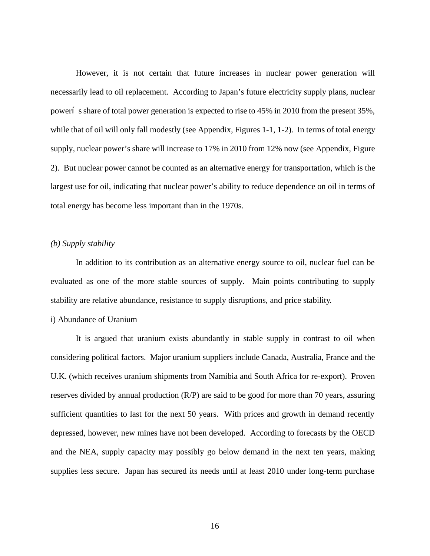However, it is not certain that future increases in nuclear power generation will necessarily lead to oil replacement. According to Japan's future electricity supply plans, nuclear power's share of total power generation is expected to rise to 45% in 2010 from the present 35%, while that of oil will only fall modestly (see Appendix, Figures 1-1, 1-2). In terms of total energy supply, nuclear power's share will increase to 17% in 2010 from 12% now (see Appendix, Figure 2). But nuclear power cannot be counted as an alternative energy for transportation, which is the largest use for oil, indicating that nuclear power's ability to reduce dependence on oil in terms of total energy has become less important than in the 1970s.

## *(b) Supply stability*

In addition to its contribution as an alternative energy source to oil, nuclear fuel can be evaluated as one of the more stable sources of supply. Main points contributing to supply stability are relative abundance, resistance to supply disruptions, and price stability.

## i) Abundance of Uranium

It is argued that uranium exists abundantly in stable supply in contrast to oil when considering political factors. Major uranium suppliers include Canada, Australia, France and the U.K. (which receives uranium shipments from Namibia and South Africa for re-export). Proven reserves divided by annual production (R/P) are said to be good for more than 70 years, assuring sufficient quantities to last for the next 50 years. With prices and growth in demand recently depressed, however, new mines have not been developed. According to forecasts by the OECD and the NEA, supply capacity may possibly go below demand in the next ten years, making supplies less secure. Japan has secured its needs until at least 2010 under long-term purchase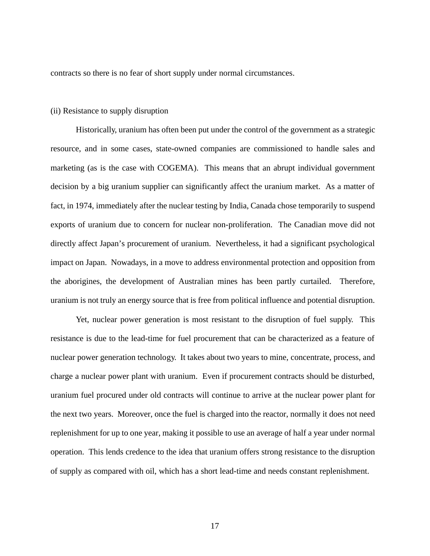contracts so there is no fear of short supply under normal circumstances.

#### (ii) Resistance to supply disruption

Historically, uranium has often been put under the control of the government as a strategic resource, and in some cases, state-owned companies are commissioned to handle sales and marketing (as is the case with COGEMA). This means that an abrupt individual government decision by a big uranium supplier can significantly affect the uranium market. As a matter of fact, in 1974, immediately after the nuclear testing by India, Canada chose temporarily to suspend exports of uranium due to concern for nuclear non-proliferation. The Canadian move did not directly affect Japan's procurement of uranium. Nevertheless, it had a significant psychological impact on Japan. Nowadays, in a move to address environmental protection and opposition from the aborigines, the development of Australian mines has been partly curtailed. Therefore, uranium is not truly an energy source that is free from political influence and potential disruption.

Yet, nuclear power generation is most resistant to the disruption of fuel supply. This resistance is due to the lead-time for fuel procurement that can be characterized as a feature of nuclear power generation technology. It takes about two years to mine, concentrate, process, and charge a nuclear power plant with uranium. Even if procurement contracts should be disturbed, uranium fuel procured under old contracts will continue to arrive at the nuclear power plant for the next two years. Moreover, once the fuel is charged into the reactor, normally it does not need replenishment for up to one year, making it possible to use an average of half a year under normal operation. This lends credence to the idea that uranium offers strong resistance to the disruption of supply as compared with oil, which has a short lead-time and needs constant replenishment.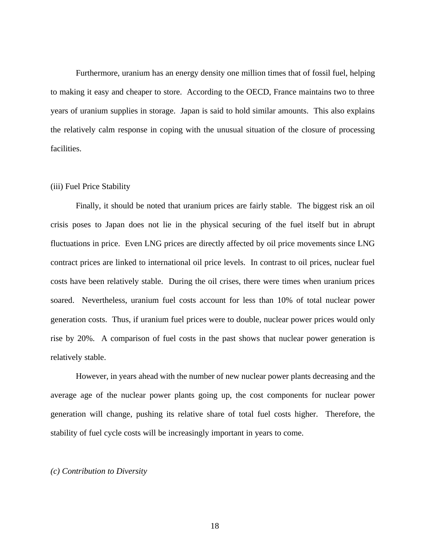Furthermore, uranium has an energy density one million times that of fossil fuel, helping to making it easy and cheaper to store. According to the OECD, France maintains two to three years of uranium supplies in storage. Japan is said to hold similar amounts. This also explains the relatively calm response in coping with the unusual situation of the closure of processing facilities.

## (iii) Fuel Price Stability

Finally, it should be noted that uranium prices are fairly stable. The biggest risk an oil crisis poses to Japan does not lie in the physical securing of the fuel itself but in abrupt fluctuations in price. Even LNG prices are directly affected by oil price movements since LNG contract prices are linked to international oil price levels. In contrast to oil prices, nuclear fuel costs have been relatively stable. During the oil crises, there were times when uranium prices soared. Nevertheless, uranium fuel costs account for less than 10% of total nuclear power generation costs. Thus, if uranium fuel prices were to double, nuclear power prices would only rise by 20%. A comparison of fuel costs in the past shows that nuclear power generation is relatively stable.

However, in years ahead with the number of new nuclear power plants decreasing and the average age of the nuclear power plants going up, the cost components for nuclear power generation will change, pushing its relative share of total fuel costs higher. Therefore, the stability of fuel cycle costs will be increasingly important in years to come.

## *(c) Contribution to Diversity*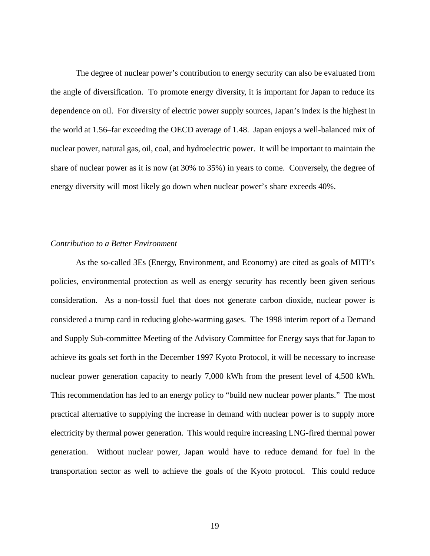The degree of nuclear power's contribution to energy security can also be evaluated from the angle of diversification. To promote energy diversity, it is important for Japan to reduce its dependence on oil. For diversity of electric power supply sources, Japan's index is the highest in the world at 1.56–far exceeding the OECD average of 1.48. Japan enjoys a well-balanced mix of nuclear power, natural gas, oil, coal, and hydroelectric power. It will be important to maintain the share of nuclear power as it is now (at 30% to 35%) in years to come. Conversely, the degree of energy diversity will most likely go down when nuclear power's share exceeds 40%.

## *Contribution to a Better Environment*

As the so-called 3Es (Energy, Environment, and Economy) are cited as goals of MITI's policies, environmental protection as well as energy security has recently been given serious consideration. As a non-fossil fuel that does not generate carbon dioxide, nuclear power is considered a trump card in reducing globe-warming gases. The 1998 interim report of a Demand and Supply Sub-committee Meeting of the Advisory Committee for Energy says that for Japan to achieve its goals set forth in the December 1997 Kyoto Protocol, it will be necessary to increase nuclear power generation capacity to nearly 7,000 kWh from the present level of 4,500 kWh. This recommendation has led to an energy policy to "build new nuclear power plants." The most practical alternative to supplying the increase in demand with nuclear power is to supply more electricity by thermal power generation. This would require increasing LNG-fired thermal power generation. Without nuclear power, Japan would have to reduce demand for fuel in the transportation sector as well to achieve the goals of the Kyoto protocol. This could reduce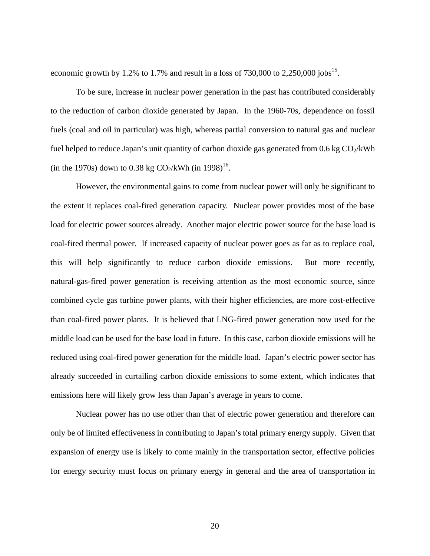economic growth by 1.2% to 1.7% and result in a loss of 730,000 to 2,250,000 jobs<sup>15</sup>.

To be sure, increase in nuclear power generation in the past has contributed considerably to the reduction of carbon dioxide generated by Japan. In the 1960-70s, dependence on fossil fuels (coal and oil in particular) was high, whereas partial conversion to natural gas and nuclear fuel helped to reduce Japan's unit quantity of carbon dioxide gas generated from  $0.6 \text{ kg CO}_2/\text{kWh}$ (in the 1970s) down to 0.38 kg  $CO_2/kWh$  (in 1998)<sup>16</sup>.

However, the environmental gains to come from nuclear power will only be significant to the extent it replaces coal-fired generation capacity. Nuclear power provides most of the base load for electric power sources already. Another major electric power source for the base load is coal-fired thermal power. If increased capacity of nuclear power goes as far as to replace coal, this will help significantly to reduce carbon dioxide emissions. But more recently, natural-gas-fired power generation is receiving attention as the most economic source, since combined cycle gas turbine power plants, with their higher efficiencies, are more cost-effective than coal-fired power plants. It is believed that LNG-fired power generation now used for the middle load can be used for the base load in future. In this case, carbon dioxide emissions will be reduced using coal-fired power generation for the middle load. Japan's electric power sector has already succeeded in curtailing carbon dioxide emissions to some extent, which indicates that emissions here will likely grow less than Japan's average in years to come.

Nuclear power has no use other than that of electric power generation and therefore can only be of limited effectiveness in contributing to Japan's total primary energy supply. Given that expansion of energy use is likely to come mainly in the transportation sector, effective policies for energy security must focus on primary energy in general and the area of transportation in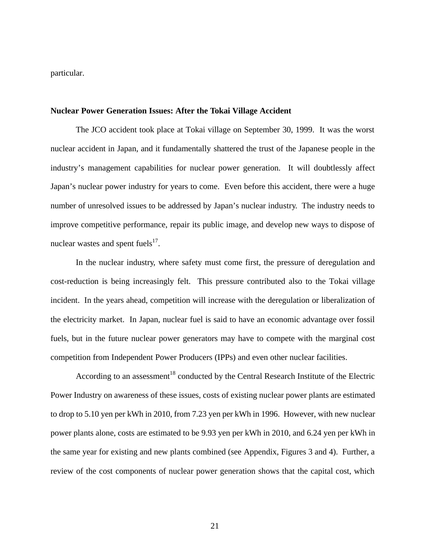particular.

#### **Nuclear Power Generation Issues: After the Tokai Village Accident**

The JCO accident took place at Tokai village on September 30, 1999. It was the worst nuclear accident in Japan, and it fundamentally shattered the trust of the Japanese people in the industry's management capabilities for nuclear power generation. It will doubtlessly affect Japan's nuclear power industry for years to come. Even before this accident, there were a huge number of unresolved issues to be addressed by Japan's nuclear industry. The industry needs to improve competitive performance, repair its public image, and develop new ways to dispose of nuclear wastes and spent fuels $^{17}$ .

In the nuclear industry, where safety must come first, the pressure of deregulation and cost-reduction is being increasingly felt. This pressure contributed also to the Tokai village incident. In the years ahead, competition will increase with the deregulation or liberalization of the electricity market. In Japan, nuclear fuel is said to have an economic advantage over fossil fuels, but in the future nuclear power generators may have to compete with the marginal cost competition from Independent Power Producers (IPPs) and even other nuclear facilities.

According to an assessment<sup>18</sup> conducted by the Central Research Institute of the Electric Power Industry on awareness of these issues, costs of existing nuclear power plants are estimated to drop to 5.10 yen per kWh in 2010, from 7.23 yen per kWh in 1996. However, with new nuclear power plants alone, costs are estimated to be 9.93 yen per kWh in 2010, and 6.24 yen per kWh in the same year for existing and new plants combined (see Appendix, Figures 3 and 4). Further, a review of the cost components of nuclear power generation shows that the capital cost, which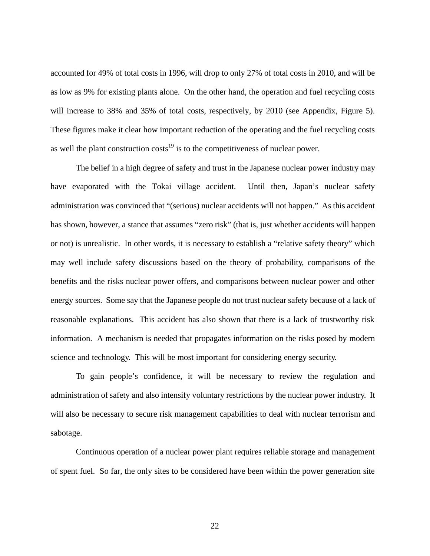accounted for 49% of total costs in 1996, will drop to only 27% of total costs in 2010, and will be as low as 9% for existing plants alone. On the other hand, the operation and fuel recycling costs will increase to 38% and 35% of total costs, respectively, by 2010 (see Appendix, Figure 5). These figures make it clear how important reduction of the operating and the fuel recycling costs as well the plant construction  $costs<sup>19</sup>$  is to the competitiveness of nuclear power.

The belief in a high degree of safety and trust in the Japanese nuclear power industry may have evaporated with the Tokai village accident. Until then, Japan's nuclear safety administration was convinced that "(serious) nuclear accidents will not happen." As this accident has shown, however, a stance that assumes "zero risk" (that is, just whether accidents will happen or not) is unrealistic. In other words, it is necessary to establish a "relative safety theory" which may well include safety discussions based on the theory of probability, comparisons of the benefits and the risks nuclear power offers, and comparisons between nuclear power and other energy sources. Some say that the Japanese people do not trust nuclear safety because of a lack of reasonable explanations. This accident has also shown that there is a lack of trustworthy risk information. A mechanism is needed that propagates information on the risks posed by modern science and technology. This will be most important for considering energy security.

To gain people's confidence, it will be necessary to review the regulation and administration of safety and also intensify voluntary restrictions by the nuclear power industry. It will also be necessary to secure risk management capabilities to deal with nuclear terrorism and sabotage.

Continuous operation of a nuclear power plant requires reliable storage and management of spent fuel. So far, the only sites to be considered have been within the power generation site

22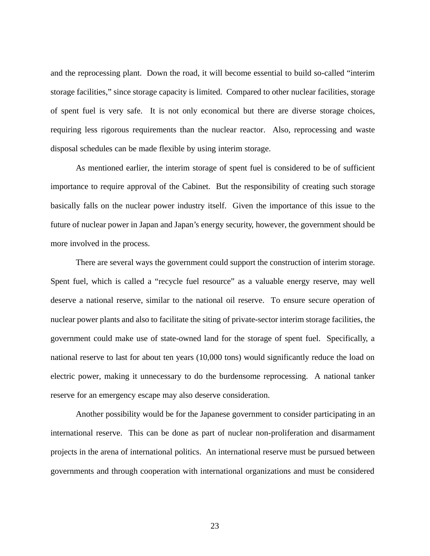and the reprocessing plant. Down the road, it will become essential to build so-called "interim storage facilities," since storage capacity is limited. Compared to other nuclear facilities, storage of spent fuel is very safe. It is not only economical but there are diverse storage choices, requiring less rigorous requirements than the nuclear reactor. Also, reprocessing and waste disposal schedules can be made flexible by using interim storage.

As mentioned earlier, the interim storage of spent fuel is considered to be of sufficient importance to require approval of the Cabinet. But the responsibility of creating such storage basically falls on the nuclear power industry itself. Given the importance of this issue to the future of nuclear power in Japan and Japan's energy security, however, the government should be more involved in the process.

There are several ways the government could support the construction of interim storage. Spent fuel, which is called a "recycle fuel resource" as a valuable energy reserve, may well deserve a national reserve, similar to the national oil reserve. To ensure secure operation of nuclear power plants and also to facilitate the siting of private-sector interim storage facilities, the government could make use of state-owned land for the storage of spent fuel. Specifically, a national reserve to last for about ten years (10,000 tons) would significantly reduce the load on electric power, making it unnecessary to do the burdensome reprocessing. A national tanker reserve for an emergency escape may also deserve consideration.

Another possibility would be for the Japanese government to consider participating in an international reserve. This can be done as part of nuclear non-proliferation and disarmament projects in the arena of international politics. An international reserve must be pursued between governments and through cooperation with international organizations and must be considered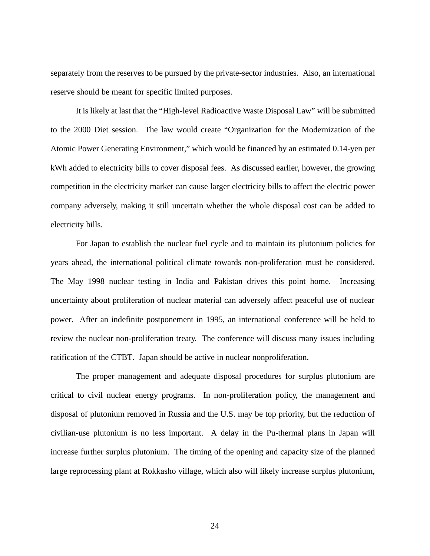separately from the reserves to be pursued by the private-sector industries. Also, an international reserve should be meant for specific limited purposes.

It is likely at last that the "High-level Radioactive Waste Disposal Law" will be submitted to the 2000 Diet session. The law would create "Organization for the Modernization of the Atomic Power Generating Environment," which would be financed by an estimated 0.14-yen per kWh added to electricity bills to cover disposal fees. As discussed earlier, however, the growing competition in the electricity market can cause larger electricity bills to affect the electric power company adversely, making it still uncertain whether the whole disposal cost can be added to electricity bills.

For Japan to establish the nuclear fuel cycle and to maintain its plutonium policies for years ahead, the international political climate towards non-proliferation must be considered. The May 1998 nuclear testing in India and Pakistan drives this point home. Increasing uncertainty about proliferation of nuclear material can adversely affect peaceful use of nuclear power. After an indefinite postponement in 1995, an international conference will be held to review the nuclear non-proliferation treaty. The conference will discuss many issues including ratification of the CTBT. Japan should be active in nuclear nonproliferation.

The proper management and adequate disposal procedures for surplus plutonium are critical to civil nuclear energy programs. In non-proliferation policy, the management and disposal of plutonium removed in Russia and the U.S. may be top priority, but the reduction of civilian-use plutonium is no less important. A delay in the Pu-thermal plans in Japan will increase further surplus plutonium. The timing of the opening and capacity size of the planned large reprocessing plant at Rokkasho village, which also will likely increase surplus plutonium,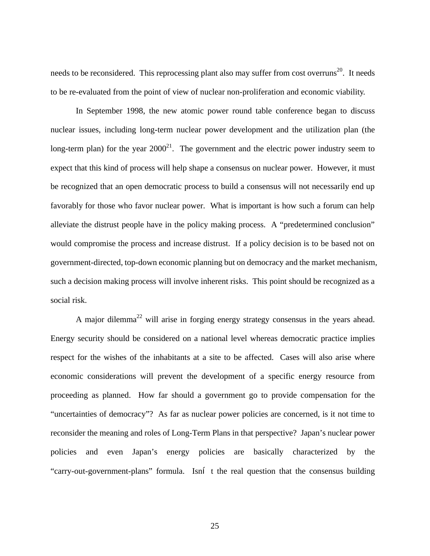needs to be reconsidered. This reprocessing plant also may suffer from cost overruns<sup>20</sup>. It needs to be re-evaluated from the point of view of nuclear non-proliferation and economic viability.

In September 1998, the new atomic power round table conference began to discuss nuclear issues, including long-term nuclear power development and the utilization plan (the long-term plan) for the year  $2000^{21}$ . The government and the electric power industry seem to expect that this kind of process will help shape a consensus on nuclear power. However, it must be recognized that an open democratic process to build a consensus will not necessarily end up favorably for those who favor nuclear power. What is important is how such a forum can help alleviate the distrust people have in the policy making process. A "predetermined conclusion" would compromise the process and increase distrust. If a policy decision is to be based not on government-directed, top-down economic planning but on democracy and the market mechanism, such a decision making process will involve inherent risks. This point should be recognized as a social risk.

A major dilemma<sup>22</sup> will arise in forging energy strategy consensus in the years ahead. Energy security should be considered on a national level whereas democratic practice implies respect for the wishes of the inhabitants at a site to be affected. Cases will also arise where economic considerations will prevent the development of a specific energy resource from proceeding as planned. How far should a government go to provide compensation for the "uncertainties of democracy"? As far as nuclear power policies are concerned, is it not time to reconsider the meaning and roles of Long-Term Plans in that perspective? Japan's nuclear power policies and even Japan's energy policies are basically characterized by the "carry-out-government-plans" formula. Isn't the real question that the consensus building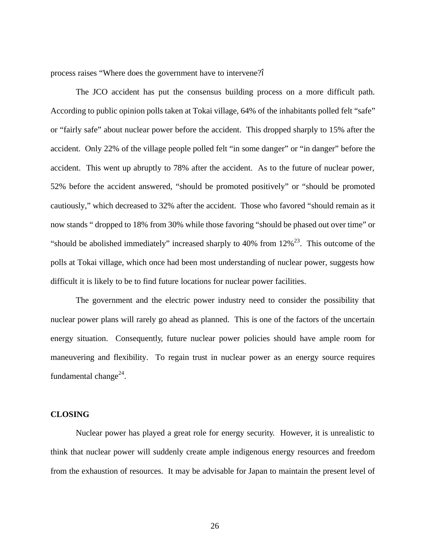process raises "Where does the government have to intervene?"

The JCO accident has put the consensus building process on a more difficult path. According to public opinion polls taken at Tokai village, 64% of the inhabitants polled felt "safe" or "fairly safe" about nuclear power before the accident. This dropped sharply to 15% after the accident. Only 22% of the village people polled felt "in some danger" or "in danger" before the accident. This went up abruptly to 78% after the accident. As to the future of nuclear power, 52% before the accident answered, "should be promoted positively" or "should be promoted cautiously," which decreased to 32% after the accident. Those who favored "should remain as it now stands " dropped to 18% from 30% while those favoring "should be phased out over time" or "should be abolished immediately" increased sharply to 40% from  $12\%^{23}$ . This outcome of the polls at Tokai village, which once had been most understanding of nuclear power, suggests how difficult it is likely to be to find future locations for nuclear power facilities.

The government and the electric power industry need to consider the possibility that nuclear power plans will rarely go ahead as planned. This is one of the factors of the uncertain energy situation. Consequently, future nuclear power policies should have ample room for maneuvering and flexibility. To regain trust in nuclear power as an energy source requires fundamental change $^{24}$ .

## **CLOSING**

Nuclear power has played a great role for energy security. However, it is unrealistic to think that nuclear power will suddenly create ample indigenous energy resources and freedom from the exhaustion of resources. It may be advisable for Japan to maintain the present level of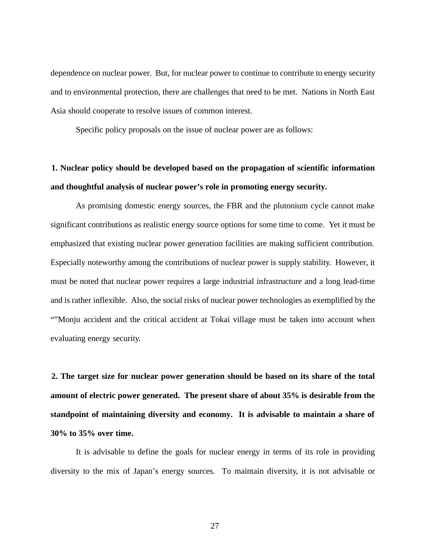dependence on nuclear power. But, for nuclear power to continue to contribute to energy security and to environmental protection, there are challenges that need to be met. Nations in North East Asia should cooperate to resolve issues of common interest.

Specific policy proposals on the issue of nuclear power are as follows:

# **1. Nuclear policy should be developed based on the propagation of scientific information and thoughtful analysis of nuclear power's role in promoting energy security.**

As promising domestic energy sources, the FBR and the plutonium cycle cannot make significant contributions as realistic energy source options for some time to come. Yet it must be emphasized that existing nuclear power generation facilities are making sufficient contribution. Especially noteworthy among the contributions of nuclear power is supply stability. However, it must be noted that nuclear power requires a large industrial infrastructure and a long lead-time and is rather inflexible. Also, the social risks of nuclear power technologies as exemplified by the ""Monju accident and the critical accident at Tokai village must be taken into account when evaluating energy security.

**2. The target size for nuclear power generation should be based on its share of the total amount of electric power generated. The present share of about 35% is desirable from the standpoint of maintaining diversity and economy. It is advisable to maintain a share of 30% to 35% over time.** 

It is advisable to define the goals for nuclear energy in terms of its role in providing diversity to the mix of Japan's energy sources. To maintain diversity, it is not advisable or

27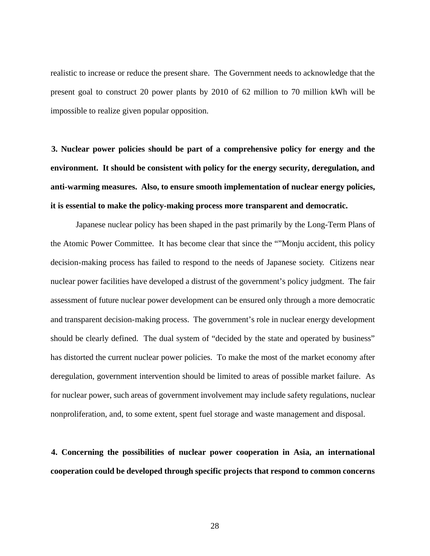realistic to increase or reduce the present share. The Government needs to acknowledge that the present goal to construct 20 power plants by 2010 of 62 million to 70 million kWh will be impossible to realize given popular opposition.

**3. Nuclear power policies should be part of a comprehensive policy for energy and the environment. It should be consistent with policy for the energy security, deregulation, and anti-warming measures. Also, to ensure smooth implementation of nuclear energy policies, it is essential to make the policy-making process more transparent and democratic.** 

Japanese nuclear policy has been shaped in the past primarily by the Long-Term Plans of the Atomic Power Committee. It has become clear that since the ""Monju accident, this policy decision-making process has failed to respond to the needs of Japanese society. Citizens near nuclear power facilities have developed a distrust of the government's policy judgment. The fair assessment of future nuclear power development can be ensured only through a more democratic and transparent decision-making process. The government's role in nuclear energy development should be clearly defined. The dual system of "decided by the state and operated by business" has distorted the current nuclear power policies. To make the most of the market economy after deregulation, government intervention should be limited to areas of possible market failure. As for nuclear power, such areas of government involvement may include safety regulations, nuclear nonproliferation, and, to some extent, spent fuel storage and waste management and disposal.

**4. Concerning the possibilities of nuclear power cooperation in Asia, an international cooperation could be developed through specific projects that respond to common concerns**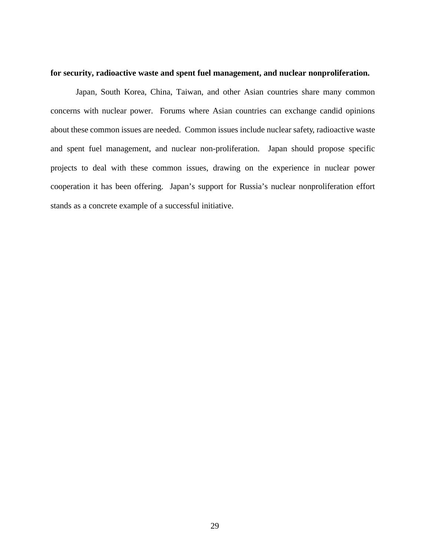#### **for security, radioactive waste and spent fuel management, and nuclear nonproliferation.**

Japan, South Korea, China, Taiwan, and other Asian countries share many common concerns with nuclear power. Forums where Asian countries can exchange candid opinions about these common issues are needed. Common issues include nuclear safety, radioactive waste and spent fuel management, and nuclear non-proliferation. Japan should propose specific projects to deal with these common issues, drawing on the experience in nuclear power cooperation it has been offering. Japan's support for Russia's nuclear nonproliferation effort stands as a concrete example of a successful initiative.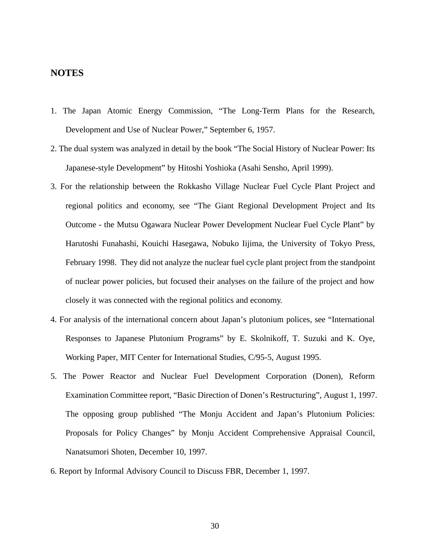## **NOTES**

- 1. The Japan Atomic Energy Commission, "The Long-Term Plans for the Research, Development and Use of Nuclear Power," September 6, 1957.
- 2. The dual system was analyzed in detail by the book "The Social History of Nuclear Power: Its Japanese-style Development" by Hitoshi Yoshioka (Asahi Sensho, April 1999).
- 3. For the relationship between the Rokkasho Village Nuclear Fuel Cycle Plant Project and regional politics and economy, see "The Giant Regional Development Project and Its Outcome - the Mutsu Ogawara Nuclear Power Development Nuclear Fuel Cycle Plant" by Harutoshi Funahashi, Kouichi Hasegawa, Nobuko Iijima, the University of Tokyo Press, February 1998. They did not analyze the nuclear fuel cycle plant project from the standpoint of nuclear power policies, but focused their analyses on the failure of the project and how closely it was connected with the regional politics and economy.
- 4. For analysis of the international concern about Japan's plutonium polices, see "International Responses to Japanese Plutonium Programs" by E. Skolnikoff, T. Suzuki and K. Oye, Working Paper, MIT Center for International Studies, C/95-5, August 1995.
- 5. The Power Reactor and Nuclear Fuel Development Corporation (Donen), Reform Examination Committee report, "Basic Direction of Donen's Restructuring", August 1, 1997. The opposing group published "The Monju Accident and Japan's Plutonium Policies: Proposals for Policy Changes" by Monju Accident Comprehensive Appraisal Council, Nanatsumori Shoten, December 10, 1997.
- 6. Report by Informal Advisory Council to Discuss FBR, December 1, 1997.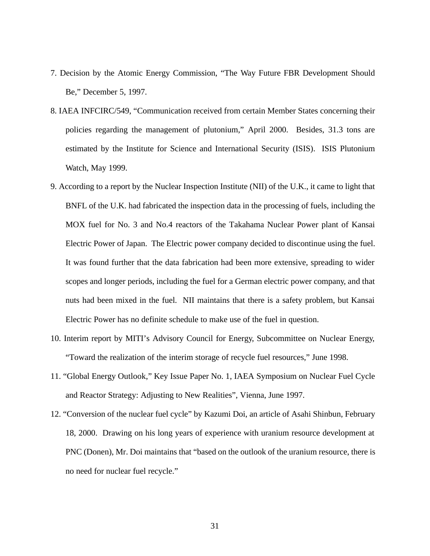- 7. Decision by the Atomic Energy Commission, "The Way Future FBR Development Should Be," December 5, 1997.
- 8. IAEA INFCIRC/549, "Communication received from certain Member States concerning their policies regarding the management of plutonium," April 2000. Besides, 31.3 tons are estimated by the Institute for Science and International Security (ISIS). ISIS Plutonium Watch, May 1999.
- 9. According to a report by the Nuclear Inspection Institute (NII) of the U.K., it came to light that BNFL of the U.K. had fabricated the inspection data in the processing of fuels, including the MOX fuel for No. 3 and No.4 reactors of the Takahama Nuclear Power plant of Kansai Electric Power of Japan. The Electric power company decided to discontinue using the fuel. It was found further that the data fabrication had been more extensive, spreading to wider scopes and longer periods, including the fuel for a German electric power company, and that nuts had been mixed in the fuel. NII maintains that there is a safety problem, but Kansai Electric Power has no definite schedule to make use of the fuel in question.
- 10. Interim report by MITI's Advisory Council for Energy, Subcommittee on Nuclear Energy, "Toward the realization of the interim storage of recycle fuel resources," June 1998.
- 11. "Global Energy Outlook," Key Issue Paper No. 1, IAEA Symposium on Nuclear Fuel Cycle and Reactor Strategy: Adjusting to New Realities", Vienna, June 1997.
- 12. "Conversion of the nuclear fuel cycle" by Kazumi Doi, an article of Asahi Shinbun, February 18, 2000. Drawing on his long years of experience with uranium resource development at PNC (Donen), Mr. Doi maintains that "based on the outlook of the uranium resource, there is no need for nuclear fuel recycle."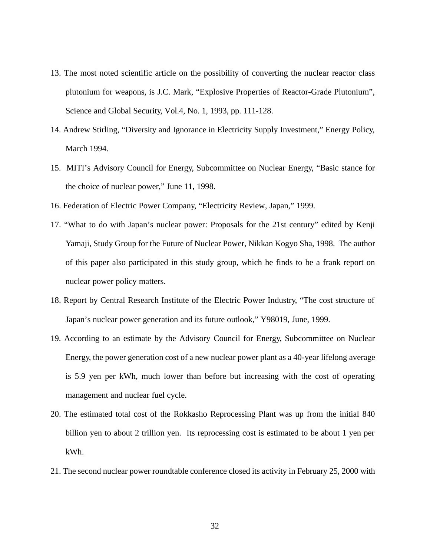- 13. The most noted scientific article on the possibility of converting the nuclear reactor class plutonium for weapons, is J.C. Mark, "Explosive Properties of Reactor-Grade Plutonium", Science and Global Security, Vol.4, No. 1, 1993, pp. 111-128.
- 14. Andrew Stirling, "Diversity and Ignorance in Electricity Supply Investment," Energy Policy, March 1994.
- 15. MITI's Advisory Council for Energy, Subcommittee on Nuclear Energy, "Basic stance for the choice of nuclear power," June 11, 1998.
- 16. Federation of Electric Power Company, "Electricity Review, Japan," 1999.
- 17. "What to do with Japan's nuclear power: Proposals for the 21st century" edited by Kenji Yamaji, Study Group for the Future of Nuclear Power, Nikkan Kogyo Sha, 1998. The author of this paper also participated in this study group, which he finds to be a frank report on nuclear power policy matters.
- 18. Report by Central Research Institute of the Electric Power Industry, "The cost structure of Japan's nuclear power generation and its future outlook," Y98019, June, 1999.
- 19. According to an estimate by the Advisory Council for Energy, Subcommittee on Nuclear Energy, the power generation cost of a new nuclear power plant as a 40-year lifelong average is 5.9 yen per kWh, much lower than before but increasing with the cost of operating management and nuclear fuel cycle.
- 20. The estimated total cost of the Rokkasho Reprocessing Plant was up from the initial 840 billion yen to about 2 trillion yen. Its reprocessing cost is estimated to be about 1 yen per kWh.
- 21. The second nuclear power roundtable conference closed its activity in February 25, 2000 with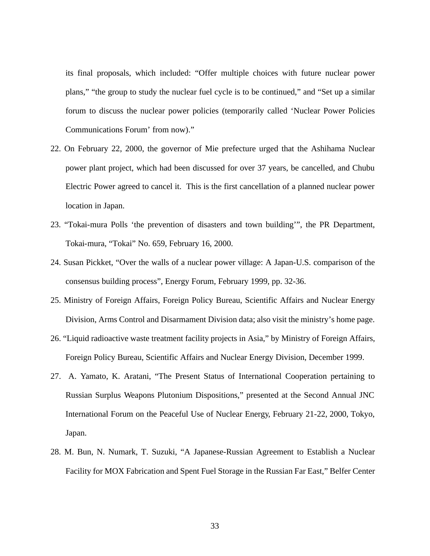its final proposals, which included: "Offer multiple choices with future nuclear power plans," "the group to study the nuclear fuel cycle is to be continued," and "Set up a similar forum to discuss the nuclear power policies (temporarily called 'Nuclear Power Policies Communications Forum' from now)."

- 22. On February 22, 2000, the governor of Mie prefecture urged that the Ashihama Nuclear power plant project, which had been discussed for over 37 years, be cancelled, and Chubu Electric Power agreed to cancel it. This is the first cancellation of a planned nuclear power location in Japan.
- 23. "Tokai-mura Polls 'the prevention of disasters and town building'", the PR Department, Tokai-mura, "Tokai" No. 659, February 16, 2000.
- 24. Susan Pickket, "Over the walls of a nuclear power village: A Japan-U.S. comparison of the consensus building process", Energy Forum, February 1999, pp. 32-36.
- 25. Ministry of Foreign Affairs, Foreign Policy Bureau, Scientific Affairs and Nuclear Energy Division, Arms Control and Disarmament Division data; also visit the ministry's home page.
- 26. "Liquid radioactive waste treatment facility projects in Asia," by Ministry of Foreign Affairs, Foreign Policy Bureau, Scientific Affairs and Nuclear Energy Division, December 1999.
- 27. A. Yamato, K. Aratani, "The Present Status of International Cooperation pertaining to Russian Surplus Weapons Plutonium Dispositions," presented at the Second Annual JNC International Forum on the Peaceful Use of Nuclear Energy, February 21-22, 2000, Tokyo, Japan.
- 28. M. Bun, N. Numark, T. Suzuki, "A Japanese-Russian Agreement to Establish a Nuclear Facility for MOX Fabrication and Spent Fuel Storage in the Russian Far East," Belfer Center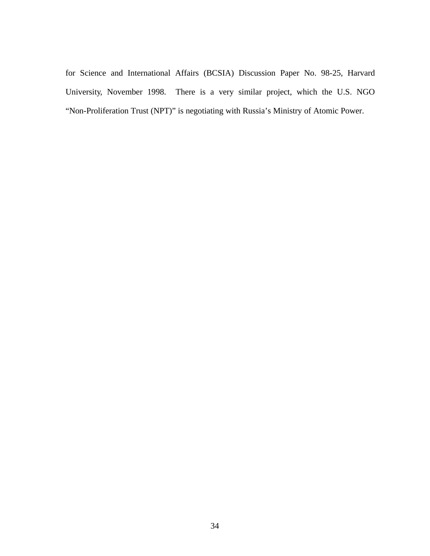for Science and International Affairs (BCSIA) Discussion Paper No. 98-25, Harvard University, November 1998. There is a very similar project, which the U.S. NGO "Non-Proliferation Trust (NPT)" is negotiating with Russia's Ministry of Atomic Power.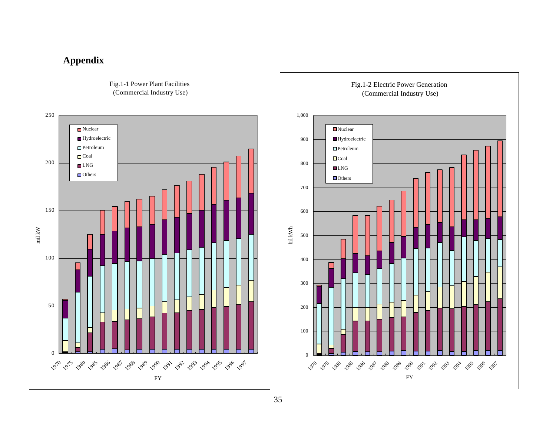## **Appendix**



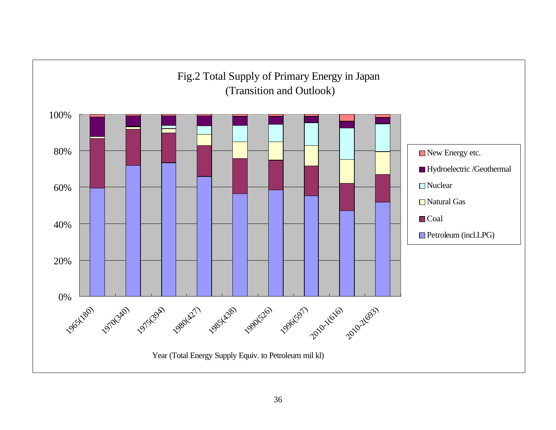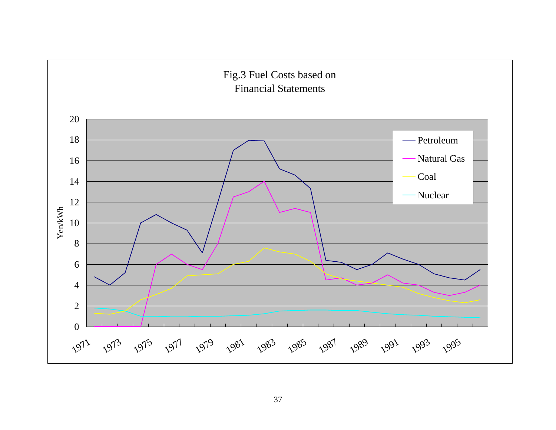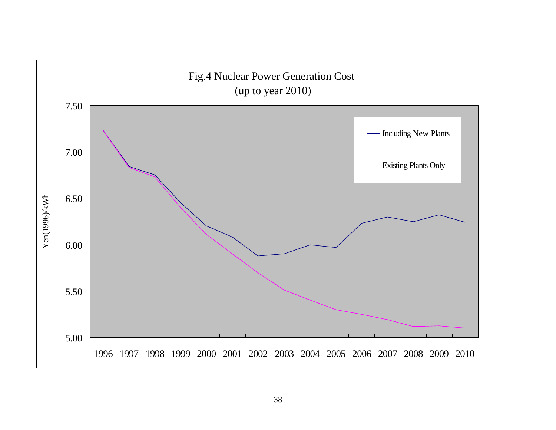